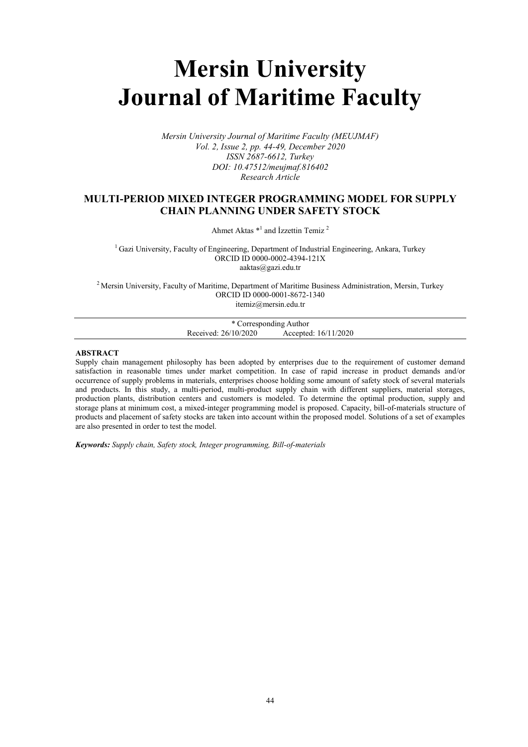# Mersin University Journal of Maritime Faculty

Mersin University Journal of Maritime Faculty (MEUJMAF) Vol. 2, Issue 2, pp. 44-49, December 2020 ISSN 2687-6612, Turkey DOI: 10.47512/meujmaf.816402 Research Article

# MULTI-PERIOD MIXED INTEGER PROGRAMMING MODEL FOR SUPPLY CHAIN PLANNING UNDER SAFETY STOCK

Ahmet Aktas  $*<sup>1</sup>$  and İzzettin Temiz<sup>2</sup>

 $<sup>1</sup>$  Gazi University, Faculty of Engineering, Department of Industrial Engineering, Ankara, Turkey</sup> ORCID ID 0000-0002-4394-121X aaktas@gazi.edu.tr

<sup>2</sup> Mersin University, Faculty of Maritime, Department of Maritime Business Administration, Mersin, Turkey ORCID ID 0000-0001-8672-1340 itemiz@mersin.edu.tr

| * Corresponding Author |                      |                      |
|------------------------|----------------------|----------------------|
|                        | Received: 26/10/2020 | Accepted: 16/11/2020 |
|                        |                      |                      |

# ABSTRACT

Supply chain management philosophy has been adopted by enterprises due to the requirement of customer demand satisfaction in reasonable times under market competition. In case of rapid increase in product demands and/or occurrence of supply problems in materials, enterprises choose holding some amount of safety stock of several materials and products. In this study, a multi-period, multi-product supply chain with different suppliers, material storages, production plants, distribution centers and customers is modeled. To determine the optimal production, supply and storage plans at minimum cost, a mixed-integer programming model is proposed. Capacity, bill-of-materials structure of products and placement of safety stocks are taken into account within the proposed model. Solutions of a set of examples are also presented in order to test the model.

Keywords: Supply chain, Safety stock, Integer programming, Bill-of-materials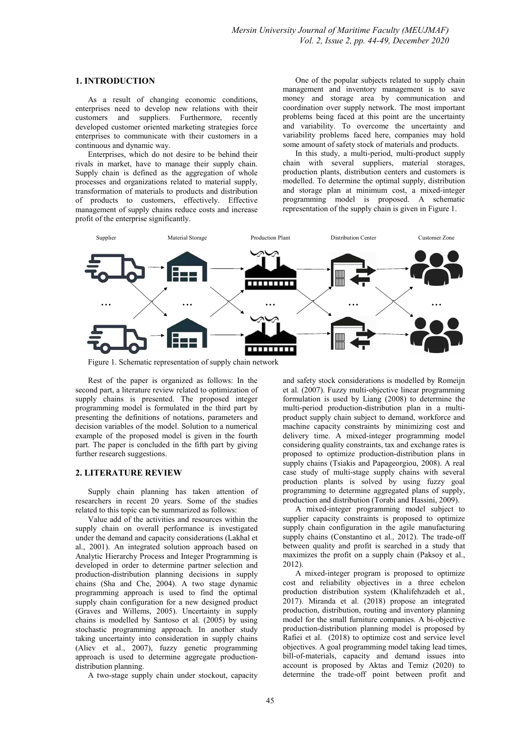#### 1. INTRODUCTION

As a result of changing economic conditions, enterprises need to develop new relations with their customers and suppliers. Furthermore, recently developed customer oriented marketing strategies force enterprises to communicate with their customers in a continuous and dynamic way.

Enterprises, which do not desire to be behind their rivals in market, have to manage their supply chain. Supply chain is defined as the aggregation of whole processes and organizations related to material supply, transformation of materials to products and distribution of products to customers, effectively. Effective management of supply chains reduce costs and increase profit of the enterprise significantly.

One of the popular subjects related to supply chain management and inventory management is to save money and storage area by communication and coordination over supply network. The most important problems being faced at this point are the uncertainty and variability. To overcome the uncertainty and variability problems faced here, companies may hold some amount of safety stock of materials and products.

In this study, a multi-period, multi-product supply chain with several suppliers, material storages, production plants, distribution centers and customers is modelled. To determine the optimal supply, distribution and storage plan at minimum cost, a mixed-integer programming model is proposed. A schematic representation of the supply chain is given in Figure 1.



Figure 1. Schematic representation of supply chain network

Rest of the paper is organized as follows: In the second part, a literature review related to optimization of supply chains is presented. The proposed integer programming model is formulated in the third part by presenting the definitions of notations, parameters and decision variables of the model. Solution to a numerical example of the proposed model is given in the fourth part. The paper is concluded in the fifth part by giving further research suggestions.

### 2. LITERATURE REVIEW

Supply chain planning has taken attention of researchers in recent 20 years. Some of the studies related to this topic can be summarized as follows:

Value add of the activities and resources within the supply chain on overall performance is investigated under the demand and capacity considerations (Lakhal et al., 2001). An integrated solution approach based on Analytic Hierarchy Process and Integer Programming is developed in order to determine partner selection and production-distribution planning decisions in supply chains (Sha and Che, 2004). A two stage dynamic programming approach is used to find the optimal supply chain configuration for a new designed product (Graves and Willems, 2005). Uncertainty in supply chains is modelled by Santoso et al. (2005) by using stochastic programming approach. In another study taking uncertainty into consideration in supply chains (Aliev et al., 2007), fuzzy genetic programming approach is used to determine aggregate productiondistribution planning.

A two-stage supply chain under stockout, capacity

and safety stock considerations is modelled by Romeijn et al. (2007). Fuzzy multi-objective linear programming formulation is used by Liang (2008) to determine the multi-period production-distribution plan in a multiproduct supply chain subject to demand, workforce and machine capacity constraints by minimizing cost and delivery time. A mixed-integer programming model considering quality constraints, tax and exchange rates is proposed to optimize production-distribution plans in supply chains (Tsiakis and Papageorgiou, 2008). A real case study of multi-stage supply chains with several production plants is solved by using fuzzy goal programming to determine aggregated plans of supply, production and distribution (Torabi and Hassini, 2009).

A mixed-integer programming model subject to supplier capacity constraints is proposed to optimize supply chain configuration in the agile manufacturing supply chains (Constantino et al., 2012). The trade-off between quality and profit is searched in a study that maximizes the profit on a supply chain (Paksoy et al., 2012).

A mixed-integer program is proposed to optimize cost and reliability objectives in a three echelon production distribution system (Khalifehzadeh et al., 2017). Miranda et al. (2018) propose an integrated production, distribution, routing and inventory planning model for the small furniture companies. A bi-objective production-distribution planning model is proposed by Rafiei et al. (2018) to optimize cost and service level objectives. A goal programming model taking lead times, bill-of-materials, capacity and demand issues into account is proposed by Aktas and Temiz (2020) to determine the trade-off point between profit and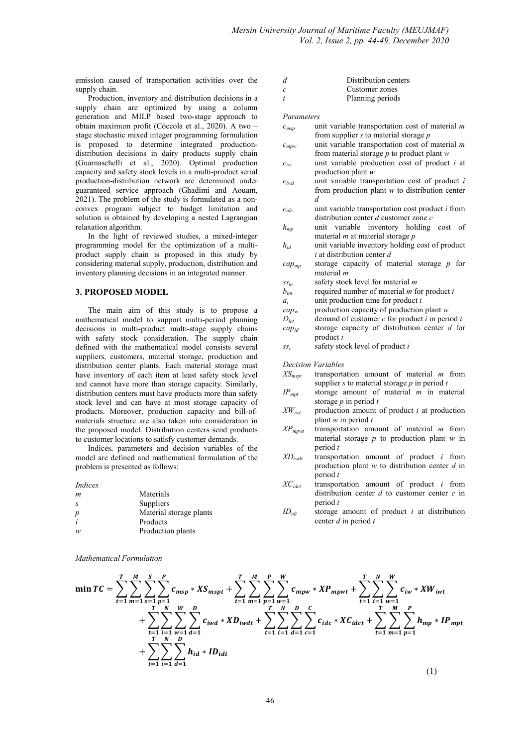emission caused of transportation activities over the supply chain.

Production, inventory and distribution decisions in a supply chain are optimized by using a column generation and MILP based two-stage approach to obtain maximum profit (Cóccola et al., 2020). A two – stage stochastic mixed integer programming formulation is proposed to determine integrated productiondistribution decisions in dairy products supply chain (Guarnaschelli et al., 2020). Optimal production capacity and safety stock levels in a multi-product serial production-distribution network are determined under guaranteed service approach (Ghadimi and Aouam, 2021). The problem of the study is formulated as a nonconvex program subject to budget limitation and solution is obtained by developing a nested Lagrangian relaxation algorithm.

In the light of reviewed studies, a mixed-integer programming model for the optimization of a multiproduct supply chain is proposed in this study by considering material supply, production, distribution and inventory planning decisions in an integrated manner.

# 3. PROPOSED MODEL

The main aim of this study is to propose a mathematical model to support multi-period planning decisions in multi-product multi-stage supply chains with safety stock consideration. The supply chain defined with the mathematical model consists several suppliers, customers, material storage, production and distribution center plants. Each material storage must have inventory of each item at least safety stock level and cannot have more than storage capacity. Similarly, distribution centers must have products more than safety stock level and can have at most storage capacity of products. Moreover, production capacity and bill-ofmaterials structure are also taken into consideration in the proposed model. Distribution centers send products to customer locations to satisfy customer demands.

Indices, parameters and decision variables of the model are defined and mathematical formulation of the problem is presented as follows:

|  | Indices |
|--|---------|
|  |         |
|  |         |

| m                | Materials               |
|------------------|-------------------------|
| - 8              | Suppliers               |
| $\boldsymbol{p}$ | Material storage plants |
|                  | Products                |
| w                | Production plants       |

Mathematical Formulation

| d  | Distribution centers |  |
|----|----------------------|--|
| C. | Customer zones       |  |
|    | Planning periods     |  |

#### Parameters

- $c_{msn}$  unit variable transportation cost of material m from supplier  $s$  to material storage  $p$  $c_{mpw}$  unit variable transportation cost of material m
- from material storage  $p$  to product plant  $w$
- $c_{iw}$  unit variable production cost of product *i* at production plant w
- $c_{iwd}$  unit variable transportation cost of product i from production plant w to distribution center d
- $c_{ide}$  unit variable transportation cost product *i* from distribution center  $d$  customer zone  $c$
- $h_{mn}$  unit variable inventory holding cost of material  $m$  at material storage  $p$
- $h_{id}$  unit variable inventory holding cost of product  $i$  at distribution center  $d$
- $cap_{mp}$  storage capacity of material storage  $p$  for material m
- $ss_m$  safety stock level for material m
- $b_{im}$  required number of material *m* for product *i*
- $a_i$  unit production time for product *i*<br>cap<sub>w</sub> production capacity of production
- $cap_w$  production capacity of production plant w<br>  $D_{ict}$  demand of customer c for product i in peri
- demand of customer c for product  $i$  in period t
- $cap_{id}$  storage capacity of distribution center d for product i
- $ss_i$  safety stock level of product i

Decision Variables

- $XS<sub>mspt</sub>$  transportation amount of material m from supplier s to material storage  $p$  in period  $t$
- $IP<sub>mpt</sub>$  storage amount of material m in material storage  $p$  in period  $t$
- $XW_{iwt}$  production amount of product *i* at production plant  $w$  in period  $t$
- $XP<sub>mpwt</sub>$  transportation amount of material m from material storage  $p$  to production plant  $w$  in period t
- $XD_{iwtt}$  transportation amount of product *i* from production plant  $w$  to distribution center  $d$  in period t
- $XC_{idct}$  transportation amount of product *i* from distribution center  $d$  to customer center  $c$  in period  $t$
- $ID_{idt}$  storage amount of product *i* at distribution center  $d$  in period  $t$

$$
\min TC = \sum_{t=1}^{T} \sum_{m=1}^{M} \sum_{s=1}^{S} \sum_{p=1}^{P} c_{msp} * X S_{mspt} + \sum_{t=1}^{T} \sum_{m=1}^{M} \sum_{p=1}^{P} \sum_{w=1}^{W} c_{mpw} * X P_{mpwt} + \sum_{t=1}^{T} \sum_{i=1}^{N} \sum_{w=1}^{W} c_{iw} * X W_{iwt} + \sum_{t=1}^{T} \sum_{i=1}^{N} \sum_{w=1}^{N} \sum_{d=1}^{P} c_{iwd} * X D_{iwdt} + \sum_{t=1}^{T} \sum_{i=1}^{N} \sum_{d=1}^{P} \sum_{c=1}^{C} c_{idc} * X C_{idct} + \sum_{t=1}^{T} \sum_{m=1}^{M} \sum_{p=1}^{P} h_{mp} * I P_{mpt} + \sum_{t=1}^{T} \sum_{i=1}^{N} \sum_{d=1}^{P} h_{id} * I D_{idt}
$$
\n(1)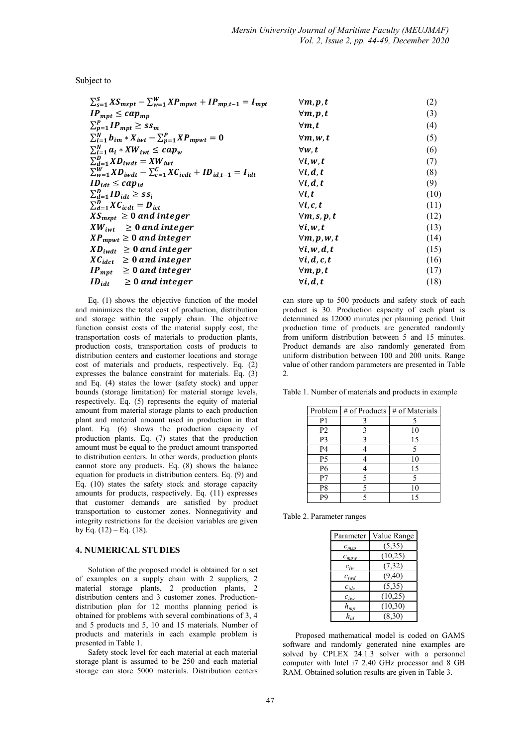Subject to

| $\sum_{s=1}^{S} X S_{mspt} - \sum_{w=1}^{W} X P_{mpwt} + I P_{mp,t-1} = I_{mpt}$  | $\forall m, p, t$    | (2)  |
|-----------------------------------------------------------------------------------|----------------------|------|
| $IP_{mpt} \leq cap_{mp}$                                                          | $\forall m, p, t$    | (3)  |
| $\sum_{p=1}^{P} IP_{mpt} \geq ss_m$                                               | $\forall m.t$        | (4)  |
| $\sum_{i=1}^{N} b_{im} * X_{iwt} - \sum_{p=1}^{P} XP_{mpwt} = 0$                  | $\forall m, w, t$    | (5)  |
| $\sum_{i=1}^{N} a_i * XW_{iwt} \leq cap_w$                                        | $\forall w, t$       | (6)  |
| $\sum_{d=1}^{D} {X} {D}_{i w dt} = {X} {W}_{i w t}$                               | $\forall i, w, t$    | (7)  |
| $\sum_{w=1}^{W} {XD}_{iwdt} - \sum_{c=1}^{C} {XC}_{icdt} + ID_{id,t-1} = I_{idt}$ | $\forall i, d, t$    | (8)  |
| $ID_{idt} \leq cap_{id}$                                                          | $\forall i, d, t$    | (9)  |
| $\sum_{d=1}^{D}$ ID <sub>idt</sub> $\geq$ ss <sub>i</sub>                         | $\forall i, t$       | (10) |
| $\sum_{d=1}^{D} XC_{icdt} = D_{ict}$                                              | $\forall i, c, t$    | (11) |
| $XS_{mspt} \geq 0$ and integer                                                    | $\forall m, s, p, t$ | (12) |
| $XW_{iwt} \geq 0$ and integer                                                     | $\forall i, w, t$    | (13) |
| $XP_{mput} \geq 0$ and integer                                                    | $\forall m, p, w, t$ | (14) |
| $XD_{iwdt} \geq 0$ and integer                                                    | $\forall i, w, d, t$ | (15) |
| $XC_{idct} \geq 0$ and integer                                                    | $\forall i, d, c, t$ | (16) |
| $IP_{mpt} \geq 0$ and integer                                                     | $\forall m, p, t$    | (17) |
| $ID_{idt} \geq 0$ and integer                                                     | $\forall i, d, t$    | (18) |

Eq. (1) shows the objective function of the model and minimizes the total cost of production, distribution and storage within the supply chain. The objective function consist costs of the material supply cost, the transportation costs of materials to production plants, production costs, transportation costs of products to distribution centers and customer locations and storage cost of materials and products, respectively. Eq. (2) expresses the balance constraint for materials. Eq. (3) and Eq. (4) states the lower (safety stock) and upper bounds (storage limitation) for material storage levels, respectively. Eq. (5) represents the equity of material amount from material storage plants to each production plant and material amount used in production in that plant. Eq. (6) shows the production capacity of production plants. Eq. (7) states that the production amount must be equal to the product amount transported to distribution centers. In other words, production plants cannot store any products. Eq. (8) shows the balance equation for products in distribution centers. Eq. (9) and Eq. (10) states the safety stock and storage capacity amounts for products, respectively. Eq. (11) expresses that customer demands are satisfied by product transportation to customer zones. Nonnegativity and integrity restrictions for the decision variables are given by Eq.  $(12) - Eq. (18)$ .

#### 4. NUMERICAL STUDIES

Solution of the proposed model is obtained for a set of examples on a supply chain with 2 suppliers, 2 material storage plants, 2 production plants, 2 distribution centers and 3 customer zones. Productiondistribution plan for 12 months planning period is obtained for problems with several combinations of 3, 4 and 5 products and 5, 10 and 15 materials. Number of products and materials in each example problem is presented in Table 1.

Safety stock level for each material at each material storage plant is assumed to be 250 and each material storage can store 5000 materials. Distribution centers

can store up to 500 products and safety stock of each product is 30. Production capacity of each plant is determined as 12000 minutes per planning period. Unit production time of products are generated randomly from uniform distribution between 5 and 15 minutes. Product demands are also randomly generated from uniform distribution between 100 and 200 units. Range value of other random parameters are presented in Table 2.

Table 1. Number of materials and products in example

|                | Problem $\frac{1}{2}$ of Products | # of Materials |
|----------------|-----------------------------------|----------------|
| P <sub>1</sub> |                                   |                |
| P <sub>2</sub> |                                   | 10             |
| P <sub>3</sub> |                                   | 15             |
| P <sub>4</sub> |                                   |                |
| P <sub>5</sub> |                                   | 10             |
| P <sub>6</sub> |                                   | 15             |
| P7             |                                   |                |
| P8             |                                   | 10             |
|                |                                   | 15             |

Table 2. Parameter ranges

| Parameter                     | Value Range |
|-------------------------------|-------------|
| $c_{msp}$                     | (5,35)      |
| $c_{mpw}$                     | (10,25)     |
| $c_{iw}$                      | (7, 32)     |
| $c_{iwd}$                     | (9,40)      |
| $c_{ide}$                     | (5,35)      |
| $c_{\scriptscriptstyle{iwr}}$ | (10,25)     |
| $h_{mp}$                      | (10, 30)    |
| $h_{id}$                      | (8,30)      |

Proposed mathematical model is coded on GAMS software and randomly generated nine examples are solved by CPLEX 24.1.3 solver with a personnel computer with Intel i7 2.40 GHz processor and 8 GB RAM. Obtained solution results are given in Table 3.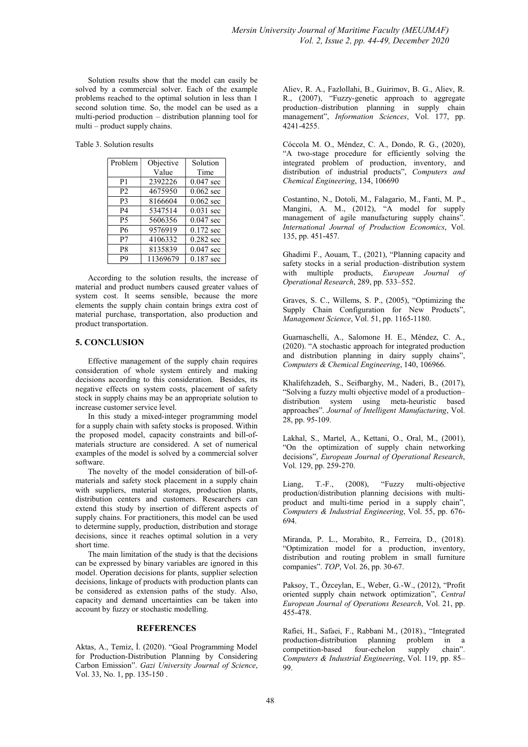Solution results show that the model can easily be solved by a commercial solver. Each of the example problems reached to the optimal solution in less than 1 second solution time. So, the model can be used as a multi-period production – distribution planning tool for multi – product supply chains.

Table 3. Solution results

| Problem        | Objective | Solution    |
|----------------|-----------|-------------|
|                | Value     | Time        |
| P <sub>1</sub> | 2392226   | $0.047$ sec |
| P <sub>2</sub> | 4675950   | $0.062$ sec |
| P <sub>3</sub> | 8166604   | $0.062$ sec |
| <b>P4</b>      | 5347514   | $0.031$ sec |
| <b>P5</b>      | 5606356   | $0.047$ sec |
| <b>P6</b>      | 9576919   | $0.172$ sec |
| P7             | 4106332   | $0.282$ sec |
| P <sub>8</sub> | 8135839   | $0.047$ sec |
| P <sub>9</sub> | 11369679  | $0.187$ sec |

According to the solution results, the increase of material and product numbers caused greater values of system cost. It seems sensible, because the more elements the supply chain contain brings extra cost of material purchase, transportation, also production and product transportation.

### 5. CONCLUSION

Effective management of the supply chain requires consideration of whole system entirely and making decisions according to this consideration. Besides, its negative effects on system costs, placement of safety stock in supply chains may be an appropriate solution to increase customer service level.

In this study a mixed-integer programming model for a supply chain with safety stocks is proposed. Within the proposed model, capacity constraints and bill-ofmaterials structure are considered. A set of numerical examples of the model is solved by a commercial solver software.

The novelty of the model consideration of bill-ofmaterials and safety stock placement in a supply chain with suppliers, material storages, production plants, distribution centers and customers. Researchers can extend this study by insertion of different aspects of supply chains. For practitioners, this model can be used to determine supply, production, distribution and storage decisions, since it reaches optimal solution in a very short time.

The main limitation of the study is that the decisions can be expressed by binary variables are ignored in this model. Operation decisions for plants, supplier selection decisions, linkage of products with production plants can be considered as extension paths of the study. Also, capacity and demand uncertainties can be taken into account by fuzzy or stochastic modelling.

#### **REFERENCES**

Aktas, A., Temiz, İ. (2020). "Goal Programming Model for Production-Distribution Planning by Considering Carbon Emission". Gazi University Journal of Science, Vol. 33, No. 1, pp. 135-150 .

Aliev, R. A., Fazlollahi, B., Guirimov, B. G., Aliev, R. R., (2007), "Fuzzy-genetic approach to aggregate production–distribution planning in supply chain management", *Information Sciences*, Vol. 177, pp. 4241-4255.

Cóccola M. O., Méndez, C. A., Dondo, R. G., (2020), "A two-stage procedure for efficiently solving the integrated problem of production, inventory, and distribution of industrial products", Computers and Chemical Engineering, 134, 106690

Costantino, N., Dotoli, M., Falagario, M., Fanti, M. P., Mangini, A. M., (2012), "A model for supply management of agile manufacturing supply chains". International Journal of Production Economics, Vol. 135, pp. 451-457.

Ghadimi F., Aouam, T., (2021), "Planning capacity and safety stocks in a serial production–distribution system with multiple products, European Journal of Operational Research, 289, pp. 533–552.

Graves, S. C., Willems, S. P., (2005), "Optimizing the Supply Chain Configuration for New Products", Management Science, Vol. 51, pp. 1165-1180.

Guarnaschelli, A., Salomone H. E., Méndez, C. A., (2020). "A stochastic approach for integrated production and distribution planning in dairy supply chains", Computers & Chemical Engineering, 140, 106966.

Khalifehzadeh, S., Seifbarghy, M., Naderi, B., (2017), "Solving a fuzzy multi objective model of a production– distribution system using meta-heuristic based approaches". Journal of Intelligent Manufacturing, Vol. 28, pp. 95-109.

Lakhal, S., Martel, A., Kettani, O., Oral, M., (2001), "On the optimization of supply chain networking decisions", European Journal of Operational Research, Vol. 129, pp. 259-270.

Liang, T.-F., (2008), "Fuzzy multi-objective production/distribution planning decisions with multiproduct and multi-time period in a supply chain", Computers & Industrial Engineering, Vol. 55, pp. 676- 694.

Miranda, P. L., Morabito, R., Ferreira, D., (2018). "Optimization model for a production, inventory, distribution and routing problem in small furniture companies". TOP, Vol. 26, pp. 30-67.

Paksoy, T., Özceylan, E., Weber, G.-W., (2012), "Profit oriented supply chain network optimization", Central European Journal of Operations Research, Vol. 21, pp. 455-478.

Rafiei, H., Safaei, F., Rabbani M., (2018)., "Integrated production-distribution planning problem in a competition-based four-echelon supply chain". Computers & Industrial Engineering, Vol. 119, pp. 85– 99.